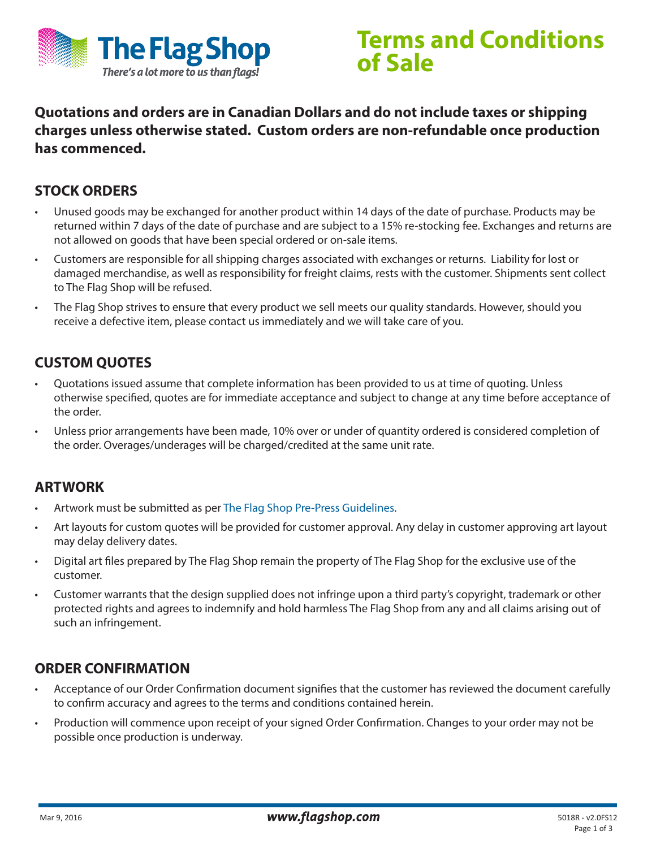

## **Terms and Conditions of Sale**

**Quotations and orders are in Canadian Dollars and do not include taxes or shipping charges unless otherwise stated. Custom orders are non-refundable once production has commenced.**

### **STOCK ORDERS**

- Unused goods may be exchanged for another product within 14 days of the date of purchase. Products may be returned within 7 days of the date of purchase and are subject to a 15% re-stocking fee. Exchanges and returns are not allowed on goods that have been special ordered or on-sale items.
- Customers are responsible for all shipping charges associated with exchanges or returns. Liability for lost or damaged merchandise, as well as responsibility for freight claims, rests with the customer. Shipments sent collect to The Flag Shop will be refused.
- The Flag Shop strives to ensure that every product we sell meets our quality standards. However, should you receive a defective item, please contact us immediately and we will take care of you.

## **CUSTOM QUOTES**

- Quotations issued assume that complete information has been provided to us at time of quoting. Unless otherwise specified, quotes are for immediate acceptance and subject to change at any time before acceptance of the order.
- Unless prior arrangements have been made, 10% over or under of quantity ordered is considered completion of the order. Overages/underages will be charged/credited at the same unit rate.

### **ARTWORK**

- Artwork must be submitted as per [The Flag Shop Pre-Press Guidelines](http://www.flagshop.com/pdf/Pre-Press-Guidelines.pdf).
- Art layouts for custom quotes will be provided for customer approval. Any delay in customer approving art layout may delay delivery dates.
- Digital art files prepared by The Flag Shop remain the property of The Flag Shop for the exclusive use of the customer.
- Customer warrants that the design supplied does not infringe upon a third party's copyright, trademark or other protected rights and agrees to indemnify and hold harmless The Flag Shop from any and all claims arising out of such an infringement.

### **ORDER CONFIRMATION**

- Acceptance of our Order Confirmation document signifies that the customer has reviewed the document carefully to confirm accuracy and agrees to the terms and conditions contained herein.
- Production will commence upon receipt of your signed Order Confirmation. Changes to your order may not be possible once production is underway.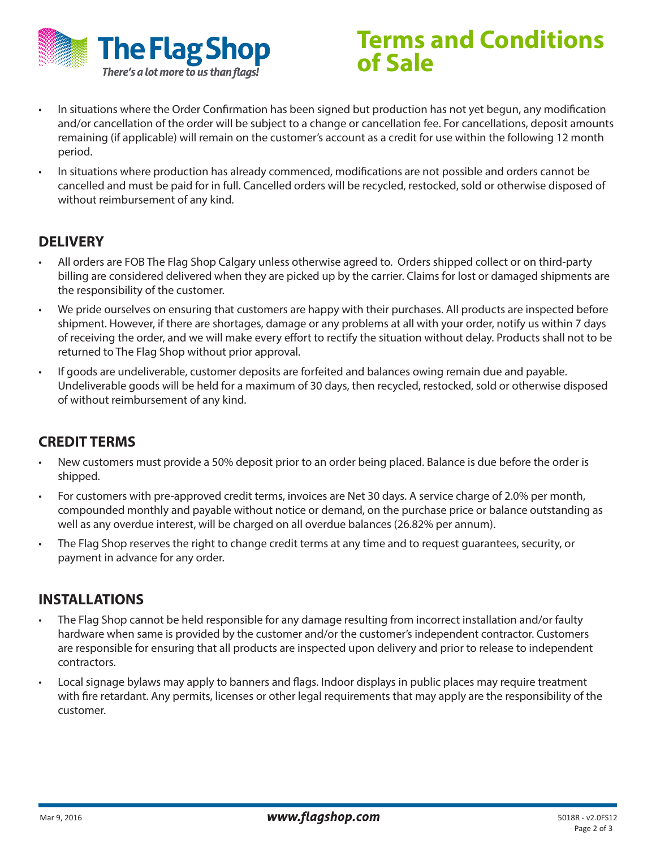

# **Terms and Conditions of Sale**

- In situations where the Order Confirmation has been signed but production has not yet begun, any modification and/or cancellation of the order will be subject to a change or cancellation fee. For cancellations, deposit amounts remaining (if applicable) will remain on the customer's account as a credit for use within the following 12 month period.
- In situations where production has already commenced, modifications are not possible and orders cannot be cancelled and must be paid for in full. Cancelled orders will be recycled, restocked, sold or otherwise disposed of without reimbursement of any kind.

## **DELIVERY**

- All orders are FOB The Flag Shop Calgary unless otherwise agreed to. Orders shipped collect or on third-party billing are considered delivered when they are picked up by the carrier. Claims for lost or damaged shipments are the responsibility of the customer.
- We pride ourselves on ensuring that customers are happy with their purchases. All products are inspected before shipment. However, if there are shortages, damage or any problems at all with your order, notify us within 7 days of receiving the order, and we will make every effort to rectify the situation without delay. Products shall not to be returned to The Flag Shop without prior approval.
- If goods are undeliverable, customer deposits are forfeited and balances owing remain due and payable. Undeliverable goods will be held for a maximum of 30 days, then recycled, restocked, sold or otherwise disposed of without reimbursement of any kind.

## **CREDIT TERMS**

- New customers must provide a 50% deposit prior to an order being placed. Balance is due before the order is shipped.
- For customers with pre-approved credit terms, invoices are Net 30 days. A service charge of 2.0% per month, compounded monthly and payable without notice or demand, on the purchase price or balance outstanding as well as any overdue interest, will be charged on all overdue balances (26.82% per annum).
- The Flag Shop reserves the right to change credit terms at any time and to request guarantees, security, or payment in advance for any order.

### **INSTALLATIONS**

- The Flag Shop cannot be held responsible for any damage resulting from incorrect installation and/or faulty hardware when same is provided by the customer and/or the customer's independent contractor. Customers are responsible for ensuring that all products are inspected upon delivery and prior to release to independent contractors.
- Local signage bylaws may apply to banners and flags. Indoor displays in public places may require treatment with fire retardant. Any permits, licenses or other legal requirements that may apply are the responsibility of the customer.